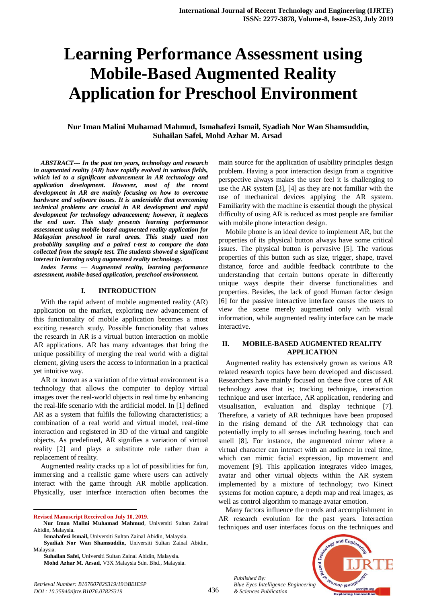# **Learning Performance Assessment using Mobile-Based Augmented Reality Application for Preschool Environment**

# **Nur Iman Malini Muhamad Mahmud, Ismahafezi Ismail, Syadiah Nor Wan Shamsuddin, Suhailan Safei, Mohd Azhar M. Arsad**

*ABSTRACT--- In the past ten years, technology and research in augmented reality (AR) have rapidly evolved in various fields, which led to a significant advancement in AR technology and application development. However, most of the recent development in AR are mainly focusing on how to overcome hardware and software issues. It is undeniable that overcoming technical problems are crucial in AR development and rapid development for technology advancement; however, it neglects the end user. This study presents learning performance assessment using mobile-based augmented reality application for Malaysian preschool in rural areas. This study used non probability sampling and a paired t-test to compare the data collected from the sample test. The students showed a significant interest in learning using augmented reality technology.*

*Index Terms — Augmented reality, learning performance assessment, mobile-based application, preschool environment.*

#### **I. INTRODUCTION**

With the rapid advent of mobile augmented reality (AR) application on the market, exploring new advancement of this functionality of mobile application becomes a most exciting research study. Possible functionality that values the research in AR is a virtual button interaction on mobile AR applications. AR has many advantages that bring the unique possibility of merging the real world with a digital element, giving users the access to information in a practical yet intuitive way.

AR or known as a variation of the virtual environment is a technology that allows the computer to deploy virtual images over the real-world objects in real time by enhancing the real-life scenario with the artificial model. In [1] defined AR as a system that fulfils the following characteristics; a combination of a real world and virtual model, real-time interaction and registered in 3D of the virtual and tangible objects. As predefined, AR signifies a variation of virtual reality [2] and plays a substitute role rather than a replacement of reality.

Augmented reality cracks up a lot of possibilities for fun, immersing and a realistic game where users can actively interact with the game through AR mobile application. Physically, user interface interaction often becomes the

 $\overline{a}$ 

main source for the application of usability principles design problem. Having a poor interaction design from a cognitive perspective always makes the user feel it is challenging to use the AR system [3], [4] as they are not familiar with the use of mechanical devices applying the AR system. Familiarity with the machine is essential though the physical difficulty of using AR is reduced as most people are familiar with mobile phone interaction design.

Mobile phone is an ideal device to implement AR, but the properties of its physical button always have some critical issues. The physical button is pervasive [5]. The various properties of this button such as size, trigger, shape, travel distance, force and audible feedback contribute to the understanding that certain buttons operate in differently unique ways despite their diverse functionalities and properties. Besides, the lack of good Human factor design [6] for the passive interactive interface causes the users to view the scene merely augmented only with visual information, while augmented reality interface can be made interactive.

# **II. MOBILE-BASED AUGMENTED REALITY APPLICATION**

Augmented reality has extensively grown as various AR related research topics have been developed and discussed. Researchers have mainly focused on these five cores of AR technology area that is; tracking technique, interaction technique and user interface, AR application, rendering and visualisation, evaluation and display technique [7]. Therefore, a variety of AR techniques have been proposed in the rising demand of the AR technology that can potentially imply to all senses including hearing, touch and smell [8]. For instance, the augmented mirror where a virtual character can interact with an audience in real time, which can mimic facial expression, lip movement and movement [9]. This application integrates video images, avatar and other virtual objects within the AR system implemented by a mixture of technology; two Kinect systems for motion capture, a depth map and real images, as well as control algorithm to manage avatar emotion.

Many factors influence the trends and accomplishment in AR research evolution for the past years. Interaction techniques and user interfaces focus on the techniques and





**Revised Manuscript Received on July 10, 2019.**

**Nur Iman Malini Muhamad Mahmud**, Universiti Sultan Zainal Abidin, Malaysia.

**Ismahafezi Ismail,** Universiti Sultan Zainal Abidin, Malaysia.

**Syadiah Nor Wan Shamsuddin,** Universiti Sultan Zainal Abidin, Malaysia.

**Suhailan Safei,** Universiti Sultan Zainal Abidin, Malaysia. **Mohd Azhar M. Arsad,** V3X Malaysia Sdn. Bhd., Malaysia.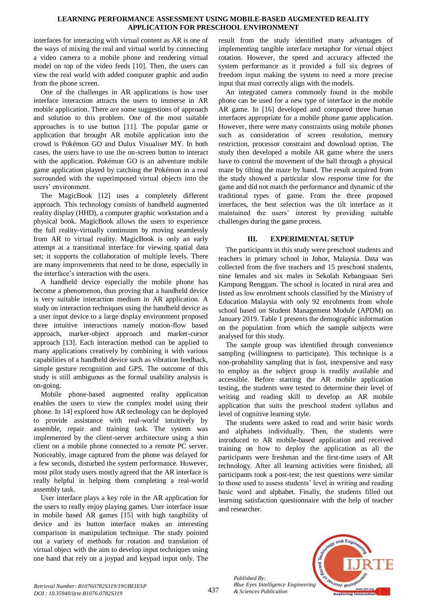# **LEARNING PERFORMANCE ASSESSMENT USING MOBILE-BASED AUGMENTED REALITY APPLICATION FOR PRESCHOOL ENVIRONMENT**

interfaces for interacting with virtual content as AR is one of the ways of mixing the real and virtual world by connecting a video camera to a mobile phone and rendering virtual model on top of the video feeds [10]. Then, the users can view the real world with added computer graphic and audio from the phone screen.

One of the challenges in AR applications is how user interface interaction attracts the users to immerse in AR mobile application. There are some suggestions of approach and solution to this problem. One of the most suitable approaches is to use button [11]. The popular game or application that brought AR mobile application into the crowd is Pokémon GO and Dulux Visualiser MY. In both cases, the users have to use the on-screen button to interact with the application. Pokémon GO is an adventure mobile game application played by catching the Pokémon in a real surrounded with the superimposed virtual objects into the users' environment.

The MagicBook [12] uses a completely different approach. This technology consists of handheld augmented reality display (HHD), a computer graphic workstation and a physical book. MagicBook allows the users to experience the full reality-virtually continuum by moving seamlessly from AR to virtual reality. MagicBook is only an early attempt at a transitional interface for viewing spatial data set; it supports the collaboration of multiple levels. There are many improvements that need to be done, especially in the interface's interaction with the users.

A handheld device especially the mobile phone has become a phenomenon, thus proving that a handheld device is very suitable interaction medium in AR application. A study on interaction techniques using the handheld device as a user input device to a large display environment proposed three intuitive interactions namely motion-flow based approach, marker-object approach and marker-cursor approach [13]. Each interaction method can be applied to many applications creatively by combining it with various capabilities of a handheld device such as vibration feedback, simple gesture recognition and GPS. The outcome of this study is still ambiguous as the formal usability analysis is on-going.

Mobile phone-based augmented reality application enables the users to view the complex model using their phone. In 14] explored how AR technology can be deployed to provide assistance with real-world intuitively by assemble, repair and training task. The system was implemented by the client-server architecture using a thin client on a mobile phone connected to a remote PC server. Noticeably, image captured from the phone was delayed for a few seconds, disturbed the system performance. However, most pilot study users mostly agreed that the AR interface is really helpful in helping them completing a real-world assembly task.

User interface plays a key role in the AR application for the users to really enjoy playing games. User interface issue in mobile based AR games [15] with high tangibility of device and its button interface makes an interesting comparison in manipulation technique. The study pointed out a variety of methods for rotation and translation of virtual object with the aim to develop input techniques using one hand that rely on a joypad and keypad input only. The

result from the study identified many advantages of implementing tangible interface metaphor for virtual object rotation. However, the speed and accuracy affected the system performance as it provided a full six degrees of freedom input making the system to need a more precise input that must correctly align with the models.

An integrated camera commonly found in the mobile phone can be used for a new type of interface in the mobile AR game. In [16] developed and compared three human interfaces appropriate for a mobile phone game application. However, there were many constraints using mobile phones such as consideration of screen resolution, memory restriction, processor constraint and download option. The study then developed a mobile AR game where the users have to control the movement of the ball through a physical maze by tilting the maze by hand. The result acquired from the study showed a particular slow response time for the game and did not match the performance and dynamic of the traditional types of game. From the three proposed interfaces, the best selection was the tilt interface as it maintained the users' interest by providing suitable challenges during the game process.

# **III. EXPERIMENTAL SETUP**

The participants in this study were preschool students and teachers in primary school in Johor, Malaysia. Data was collected from the five teachers and 15 preschool students, nine females and six males in Sekolah Kebangsaan Seri Kampung Renggam. The school is located in rural area and listed as low enrolment schools classified by the Ministry of Education Malaysia with only 92 enrolments from whole school based on Student Management Module (APDM) on January 2019. Table 1 presents the demographic information on the population from which the sample subjects were analysed for this study.

The sample group was identified through convenience sampling (willingness to participate). This technique is a non-probability sampling that is fast, inexpensive and easy to employ as the subject group is readily available and accessible. Before starting the AR mobile application testing, the students were tested to determine their level of writing and reading skill to develop an AR mobile application that suits the preschool student syllabus and level of cognitive learning style.

The students were asked to read and write basic words and alphabets individually. Then, the students were introduced to AR mobile-based application and received training on how to deploy the application as all the participants were freshman and the first-time users of AR technology. After all learning activities were finished, all participants took a post-test; the test questions were similar to those used to assess students' level in writing and reading basic word and alphabet. Finally, the students filled out learning satisfaction questionnaire with the help of teacher and researcher.



*Published By:*

*& Sciences Publication*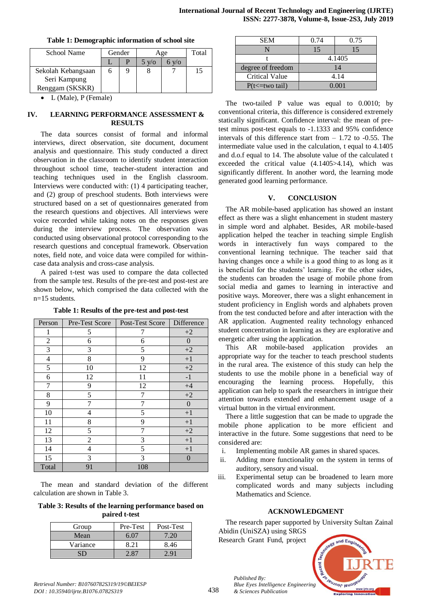| School Name        | Gender |  | Age          |     | Total |
|--------------------|--------|--|--------------|-----|-------|
|                    |        |  | $5 \sqrt{6}$ | V/O |       |
| Sekolah Kebangsaan |        |  |              |     | 15    |
| Seri Kampung       |        |  |              |     |       |
| Renggam (SKSKR)    |        |  |              |     |       |

#### **Table 1: Demographic information of school site**

L (Male), P (Female)

## **IV. LEARNING PERFORMANCE ASSESSMENT & RESULTS**

The data sources consist of formal and informal interviews, direct observation, site document, document analysis and questionnaire. This study conducted a direct observation in the classroom to identify student interaction throughout school time, teacher-student interaction and teaching techniques used in the English classroom. Interviews were conducted with: (1) 4 participating teacher, and (2) group of preschool students. Both interviews were structured based on a set of questionnaires generated from the research questions and objectives. All interviews were voice recorded while taking notes on the responses given during the interview process. The observation was conducted using observational protocol corresponding to the research questions and conceptual framework. Observation notes, field note, and voice data were compiled for withincase data analysis and cross-case analysis.

A paired t-test was used to compare the data collected from the sample test. Results of the pre-test and post-test are shown below, which comprised the data collected with the n=15 students.

| Person         | Pre-Test Score | Post-Test Score | Difference       |
|----------------|----------------|-----------------|------------------|
| 1              | 5              | 7               | $+2$             |
| $\overline{c}$ | 6              | 6               | 0                |
| 3              | 3              | 5               | $+2$             |
| 4              | 8              | 9               | $+1$             |
| 5              | 10             | 12              | $+2$             |
| 6              | 12             | 11              | $-1$             |
| 7              | 9              | 12              | $+4$             |
| 8              | 5              | 7               | $+2$             |
| 9              | 7              | 7               | $\boldsymbol{0}$ |
| 10             | 4              | 5               | $+1$             |
| 11             | 8              | 9               | $+1$             |
| 12             | 5              | 7               | $+2$             |
| 13             | $\overline{2}$ | 3               | $+1$             |
| 14             | 4              | 5               | $+1$             |
| 15             | 3              | 3               | 0                |
| Total          | 91             | 108             |                  |

**Table 1: Results of the pre-test and post-test**

The mean and standard deviation of the different calculation are shown in Table 3.

**Table 3: Results of the learning performance based on paired t-test**

| Group    | Pre-Test | Post-Test |
|----------|----------|-----------|
| Mean     | 6 O.     | $-20-$    |
| Variance | 8 21     | 8.46      |
|          |          |           |

| <b>SEM</b>             | 0.74   | 0.75 |  |
|------------------------|--------|------|--|
|                        | 15     | 15   |  |
|                        | 4.1405 |      |  |
| degree of freedom      | 14     |      |  |
| <b>Critical Value</b>  | 4.14   |      |  |
| $P(t \leq t$ two tail) | 0.001  |      |  |

The two-tailed P value was equal to 0.0010; by conventional criteria, this difference is considered extremely statically significant. Confidence interval: the mean of pretest minus post-test equals to -1.1333 and 95% confidence intervals of this difference start from  $-1.72$  to  $-0.55$ . The intermediate value used in the calculation, t equal to 4.1405 and d.o.f equal to 14. The absolute value of the calculated t exceeded the critical value (4.1405>4.14), which was significantly different. In another word, the learning mode generated good learning performance.

# **V. CONCLUSION**

The AR mobile-based application has showed an instant effect as there was a slight enhancement in student mastery in simple word and alphabet. Besides, AR mobile-based application helped the teacher in teaching simple English words in interactively fun ways compared to the conventional learning technique. The teacher said that having changes once a while is a good thing to as long as it is beneficial for the students' learning. For the other sides, the students can broaden the usage of mobile phone from social media and games to learning in interactive and positive ways. Moreover, there was a slight enhancement in student proficiency in English words and alphabets proven from the test conducted before and after interaction with the AR application. Augmented reality technology enhanced student concentration in learning as they are explorative and energetic after using the application.

This AR mobile-based application provides an appropriate way for the teacher to teach preschool students in the rural area. The existence of this study can help the students to use the mobile phone in a beneficial way of encouraging the learning process. Hopefully, this application can help to spark the researchers in intrigue their attention towards extended and enhancement usage of a virtual button in the virtual environment.

There a little suggestion that can be made to upgrade the mobile phone application to be more efficient and interactive in the future. Some suggestions that need to be considered are:

- i. Implementing mobile AR games in shared spaces.
- ii. Adding more functionality on the system in terms of auditory, sensory and visual.
- iii. Experimental setup can be broadened to learn more complicated words and many subjects including Mathematics and Science.

# **ACKNOWLEDGMENT**

The research paper supported by University Sultan Zainal

Abidin (UniSZA) using SRGS Research Grant Fund, project

*Published By:*

*& Sciences Publication*